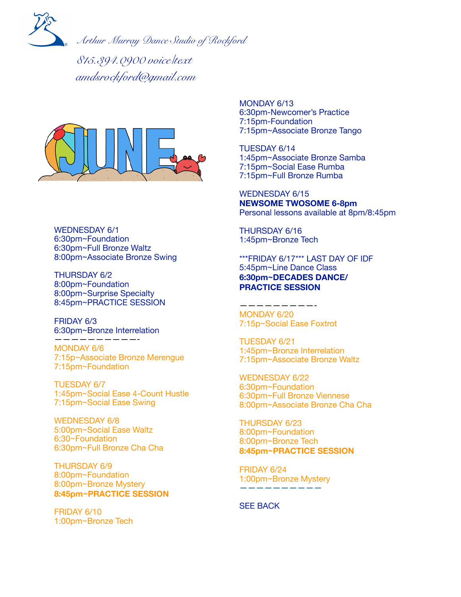

*Arthur Murray Dance Studio of Rockford*

*815.394.0900 voice/text amdsrockford@gmail.com*



WEDNESDAY 6/1 6:30pm~Foundation 6:30pm~Full Bronze Waltz 8:00pm~Associate Bronze Swing

THURSDAY 6/2 8:00pm~Foundation 8:00pm~Surprise Specialty 8:45pm~PRACTICE SESSION

FRIDAY 6/3 6:30pm~Bronze Interrelation

——————————-

MONDAY 6/6 7:15p~Associate Bronze Merengue 7:15pm~Foundation

TUESDAY 6/7 1:45pm~Social Ease 4-Count Hustle 7:15pm~Social Ease Swing

WEDNESDAY 6/8 5:00pm~Social Ease Waltz 6:30~Foundation 6:30pm~Full Bronze Cha Cha

THURSDAY 6/9 8:00pm~Foundation 8:00pm~Bronze Mystery **8:45pm~PRACTICE SESSION** 

FRIDAY 6/10 1:00pm~Bronze Tech MONDAY 6/13 6:30pm-Newcomer's Practice 7:15pm-Foundation 7:15pm~Associate Bronze Tango

TUESDAY 6/14 1:45pm~Associate Bronze Samba 7:15pm~Social Ease Rumba 7:15pm~Full Bronze Rumba

WEDNESDAY 6/15 **NEWSOME TWOSOME 6-8pm**  Personal lessons available at 8pm/8:45pm

THURSDAY 6/16 1:45pm~Bronze Tech

\*\*\*FRIDAY 6/17\*\*\* LAST DAY OF IDF 5:45pm~Line Dance Class **6:30pm~DECADES DANCE/ PRACTICE SESSION** 

—————————- MONDAY 6/20 7:15p~Social Ease Foxtrot

TUESDAY 6/21 1:45pm~Bronze Interrelation 7:15pm~Associate Bronze Waltz

WEDNESDAY 6/22 6:30pm~Foundation 6:30pm~Full Bronze Viennese 8:00pm~Associate Bronze Cha Cha

THURSDAY 6/23 8:00pm~Foundation 8:00pm~Bronze Tech **8:45pm~PRACTICE SESSION** 

FRIDAY 6/24 1:00pm~Bronze Mystery ——————————

SEE BACK